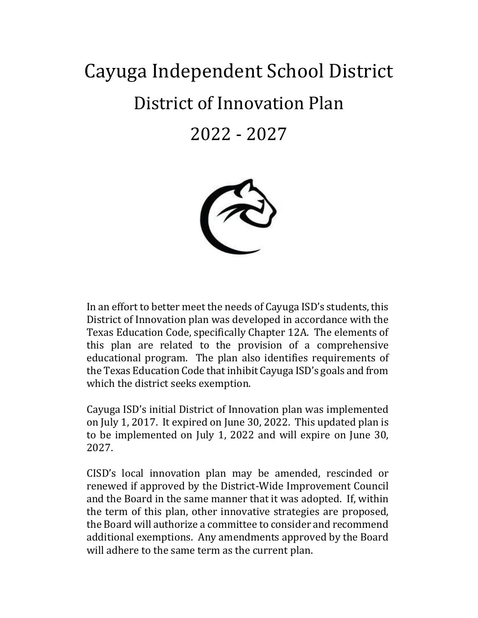# Cayuga Independent School District District of Innovation Plan 2022 - 2027



In an effort to better meet the needs of Cayuga ISD's students, this District of Innovation plan was developed in accordance with the Texas Education Code, specifically Chapter 12A. The elements of this plan are related to the provision of a comprehensive educational program. The plan also identifies requirements of the Texas Education Code that inhibit Cayuga ISD's goals and from which the district seeks exemption.

Cayuga ISD's initial District of Innovation plan was implemented on July 1, 2017. It expired on June 30, 2022. This updated plan is to be implemented on July 1, 2022 and will expire on June 30, 2027.

CISD's local innovation plan may be amended, rescinded or renewed if approved by the District-Wide Improvement Council and the Board in the same manner that it was adopted. If, within the term of this plan, other innovative strategies are proposed, the Board will authorize a committee to consider and recommend additional exemptions. Any amendments approved by the Board will adhere to the same term as the current plan.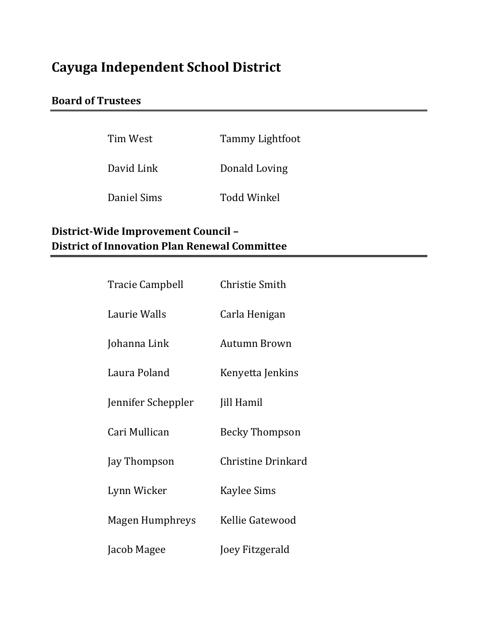# **Cayuga Independent School District**

# **Board of Trustees**

| Tim West    | <b>Tammy Lightfoot</b> |
|-------------|------------------------|
| David Link  | Donald Loving          |
| Daniel Sims | <b>Todd Winkel</b>     |

# **District-Wide Improvement Council – District of Innovation Plan Renewal Committee**

| <b>Tracie Campbell</b> | <b>Christie Smith</b> |
|------------------------|-----------------------|
| Laurie Walls           | Carla Henigan         |
| Johanna Link           | Autumn Brown          |
| Laura Poland           | Kenyetta Jenkins      |
| Jennifer Scheppler     | Jill Hamil            |
| Cari Mullican          | <b>Becky Thompson</b> |
| Jay Thompson           | Christine Drinkard    |
| Lynn Wicker            | <b>Kaylee Sims</b>    |
| Magen Humphreys        | Kellie Gatewood       |
| Jacob Magee            | Joey Fitzgerald       |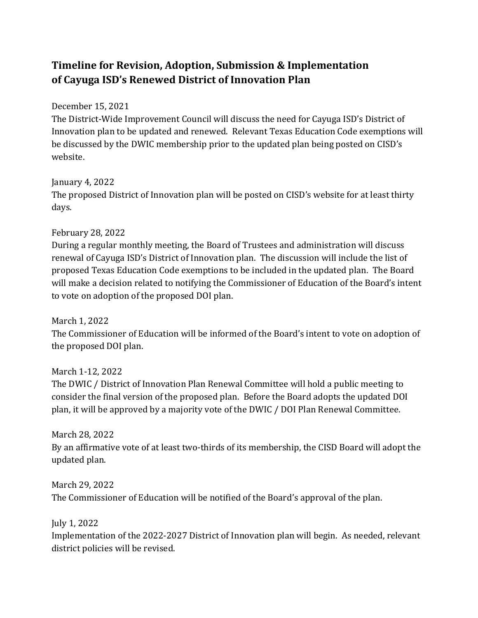# **Timeline for Revision, Adoption, Submission & Implementation of Cayuga ISD's Renewed District of Innovation Plan**

#### December 15, 2021

The District-Wide Improvement Council will discuss the need for Cayuga ISD's District of Innovation plan to be updated and renewed. Relevant Texas Education Code exemptions will be discussed by the DWIC membership prior to the updated plan being posted on CISD's website.

#### January 4, 2022

The proposed District of Innovation plan will be posted on CISD's website for at least thirty days.

## February 28, 2022

During a regular monthly meeting, the Board of Trustees and administration will discuss renewal of Cayuga ISD's District of Innovation plan. The discussion will include the list of proposed Texas Education Code exemptions to be included in the updated plan. The Board will make a decision related to notifying the Commissioner of Education of the Board's intent to vote on adoption of the proposed DOI plan.

March 1, 2022 The Commissioner of Education will be informed of the Board's intent to vote on adoption of the proposed DOI plan.

March 1-12, 2022 The DWIC / District of Innovation Plan Renewal Committee will hold a public meeting to consider the final version of the proposed plan. Before the Board adopts the updated DOI plan, it will be approved by a majority vote of the DWIC / DOI Plan Renewal Committee.

March 28, 2022 By an affirmative vote of at least two-thirds of its membership, the CISD Board will adopt the updated plan.

March 29, 2022 The Commissioner of Education will be notified of the Board's approval of the plan.

July 1, 2022

Implementation of the 2022-2027 District of Innovation plan will begin. As needed, relevant district policies will be revised.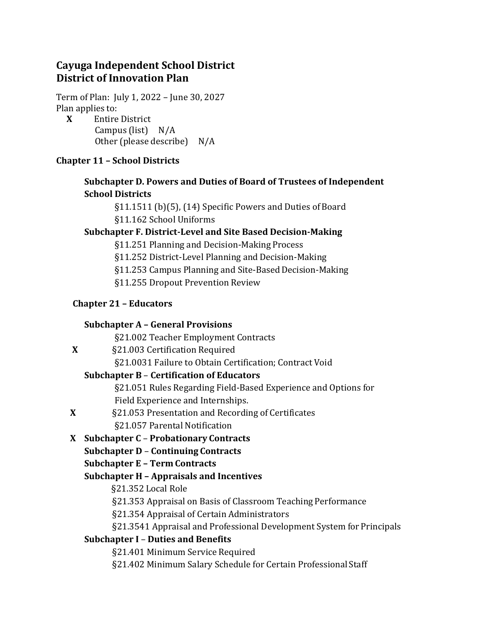# **Cayuga Independent School District District of Innovation Plan**

Term of Plan: July 1, 2022 – June 30, 2027 Plan applies to:

 **X** Entire District Campus (list) N/A Other (please describe) N/A

# **Chapter 11 – School Districts**

# **Subchapter D. Powers and Duties of Board of Trustees of Independent School Districts**

§11.1511 (b)(5), (14) Specific Powers and Duties of Board §11.162 School Uniforms

# **Subchapter F. District-Level and Site Based Decision-Making**

§11.251 Planning and Decision-Making Process

§11.252 District-Level Planning and Decision-Making

§11.253 Campus Planning and Site-Based Decision-Making

§11.255 Dropout Prevention Review

# **Chapter 21 – Educators**

# **Subchapter A – General Provisions**

§21.002 Teacher Employment Contracts

# **X** §21.003 Certification Required

§21.0031 Failure to Obtain Certification; Contract Void

# **Subchapter B** – **Certification of Educators**

§21.051 Rules Regarding Field-Based Experience and Options for Field Experience and Internships.

 **X** §21.053 Presentation and Recording of Certificates §21.057 Parental Notification

# **X Subchapter C** – **Probationary Contracts**

# **Subchapter D** – **Continuing Contracts**

# **Subchapter E – Term Contracts**

# **Subchapter H – Appraisals and Incentives**

§21.352 Local Role

§21.353 Appraisal on Basis of Classroom Teaching Performance

§21.354 Appraisal of Certain Administrators

§21.3541 Appraisal and Professional Development System for Principals

# **Subchapter I** – **Duties and Benefits**

§21.401 Minimum Service Required

§21.402 Minimum Salary Schedule for Certain Professional Staff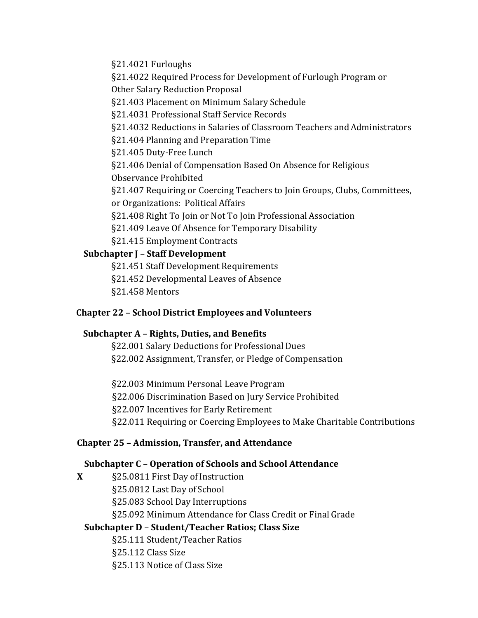§21.4021 Furloughs

§21.4022 Required Process for Development of Furlough Program or

Other Salary Reduction Proposal

§21.403 Placement on Minimum Salary Schedule

§21.4031 Professional Staff Service Records

§21.4032 Reductions in Salaries of Classroom Teachers and Administrators

§21.404 Planning and Preparation Time

§21.405 Duty-Free Lunch

§21.406 Denial of Compensation Based On Absence for Religious Observance Prohibited

§21.407 Requiring or Coercing Teachers to Join Groups, Clubs, Committees, or Organizations: Political Affairs

§21.408 Right To Join or Not To Join Professional Association

§21.409 Leave Of Absence for Temporary Disability

§21.415 Employment Contracts

# **Subchapter J** – **Staff Development**

§21.451 Staff Development Requirements

§21.452 Developmental Leaves of Absence

§21.458 Mentors

# **Chapter 22 – School District Employees and Volunteers**

# **Subchapter A – Rights, Duties, and Benefits**

§22.001 Salary Deductions for Professional Dues §22.002 Assignment, Transfer, or Pledge of Compensation

§22.003 Minimum Personal Leave Program §22.006 Discrimination Based on Jury Service Prohibited §22.007 Incentives for Early Retirement §22.011 Requiring or Coercing Employees to Make Charitable Contributions

# **Chapter 25 – Admission, Transfer, and Attendance**

# **Subchapter C** – **Operation of Schools and School Attendance**

**X** §25.0811 First Day of Instruction §25.0812 Last Day of School §25.083 School Day Interruptions §25.092 Minimum Attendance for Class Credit or Final Grade

# **Subchapter D** – **Student/Teacher Ratios; Class Size**

§25.111 Student/Teacher Ratios

§25.112 Class Size

§25.113 Notice of Class Size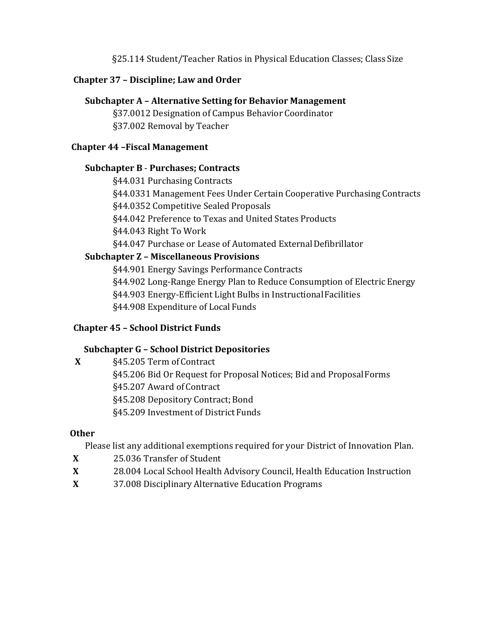§25.114 Student/Teacher Ratios in Physical Education Classes; Class Size

#### **Chapter 37 – Discipline; Law and Order**

#### **Subchapter A – Alternative Setting for Behavior Management**

§37.0012 Designation of Campus Behavior Coordinator §37.002 Removal by Teacher

#### **Chapter 44 –Fiscal Management**

#### **Subchapter B** - **Purchases; Contracts**

§44.031 Purchasing Contracts

§44.0331 Management Fees Under Certain Cooperative Purchasing Contracts

§44.0352 Competitive Sealed Proposals

§44.042 Preference to Texas and United States Products

§44.043 Right To Work

§44.047 Purchase or Lease of Automated External Defibrillator

## **Subchapter Z – Miscellaneous Provisions**

§44.901 Energy Savings Performance Contracts

§44.902 Long-Range Energy Plan to Reduce Consumption of Electric Energy

§44.903 Energy-Efficient Light Bulbs in Instructional Facilities

§44.908 Expenditure of Local Funds

## **Chapter 45 – School District Funds**

# **Subchapter G – School District Depositories**

**X** §45.205 Term of Contract

§45.206 Bid Or Request for Proposal Notices; Bid and ProposalForms

§45.207 Award of Contract

§45.208 Depository Contract; Bond

§45.209 Investment of District Funds

## **Other**

Please list any additional exemptions required for your District of Innovation Plan.

- **X** 25.036 Transfer of Student
- **X** 28.004 Local School Health Advisory Council, Health Education Instruction
- **X** 37.008 Disciplinary Alternative Education Programs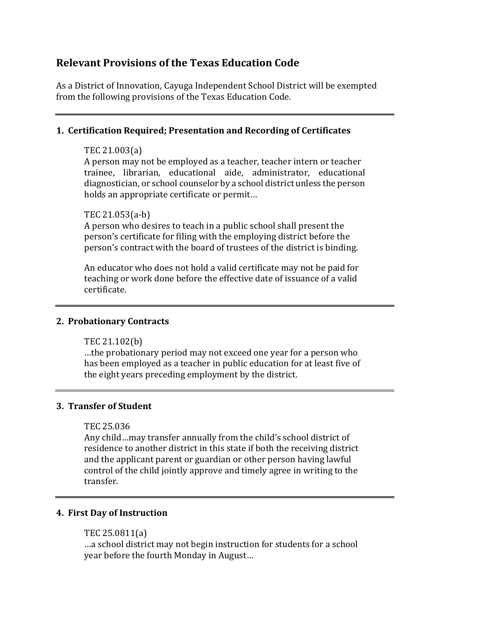# **Relevant Provisions of the Texas Education Code**

As a District of Innovation, Cayuga Independent School District will be exempted from the following provisions of the Texas Education Code.

#### **1. Certification Required; Presentation and Recording of Certificates**

#### TEC 21.003(a)

A person may not be employed as a teacher, teacher intern or teacher trainee, librarian, educational aide, administrator, educational diagnostician, or school counselor by a school district unless the person holds an appropriate certificate or permit…

#### TEC 21.053(a-b)

A person who desires to teach in a public school shall present the person's certificate for filing with the employing district before the person's contract with the board of trustees of the district is binding.

An educator who does not hold a valid certificate may not be paid for teaching or work done before the effective date of issuance of a valid certificate.

#### **2. Probationary Contracts**

TEC 21.102(b)

…the probationary period may not exceed one year for a person who has been employed as a teacher in public education for at least five of the eight years preceding employment by the district.

#### **3. Transfer of Student**

#### TEC 25.036

Any child…may transfer annually from the child's school district of residence to another district in this state if both the receiving district and the applicant parent or guardian or other person having lawful control of the child jointly approve and timely agree in writing to the transfer.

#### **4. First Day of Instruction**

#### TEC 25.0811(a)

…a school district may not begin instruction for students for a school year before the fourth Monday in August…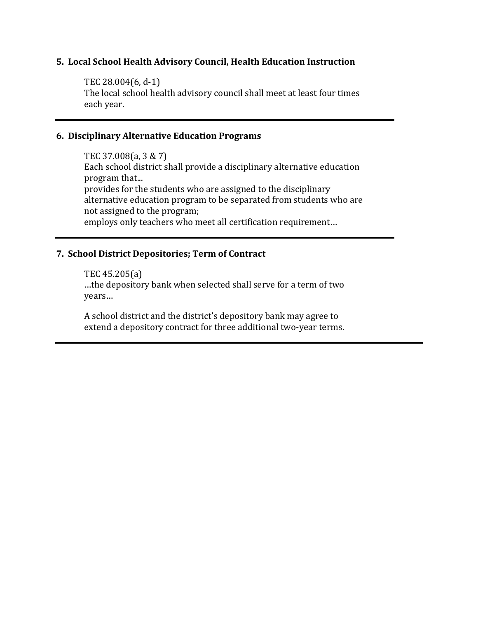#### **5. Local School Health Advisory Council, Health Education Instruction**

TEC 28.004(6, d-1) The local school health advisory council shall meet at least four times each year.

#### **6. Disciplinary Alternative Education Programs**

TEC 37.008(a, 3 & 7) Each school district shall provide a disciplinary alternative education program that... provides for the students who are assigned to the disciplinary alternative education program to be separated from students who are not assigned to the program; employs only teachers who meet all certification requirement…

#### **7. School District Depositories; Term of Contract**

TEC 45.205(a) …the depository bank when selected shall serve for a term of two years…

A school district and the district's depository bank may agree to extend a depository contract for three additional two-year terms.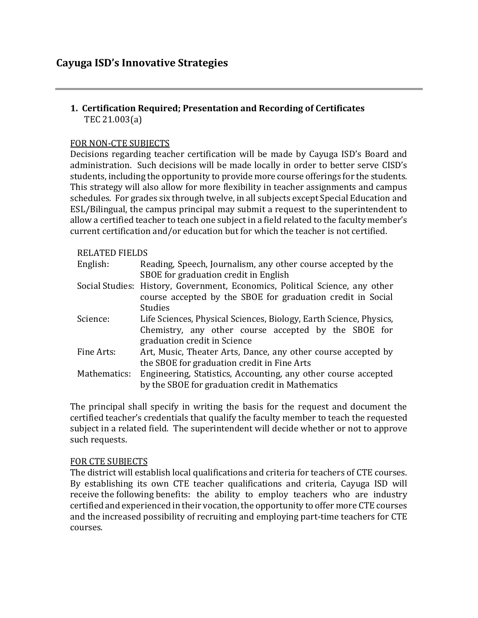#### **1. Certification Required; Presentation and Recording of Certificates** TEC 21.003(a)

#### FOR NON-CTE SUBJECTS

Decisions regarding teacher certification will be made by Cayuga ISD's Board and administration. Such decisions will be made locally in order to better serve CISD's students, including the opportunity to provide more course offerings for the students. This strategy will also allow for more flexibility in teacher assignments and campus schedules. For grades six through twelve, in all subjects except Special Education and ESL/Bilingual, the campus principal may submit a request to the superintendent to allow a certified teacher to teach one subject in a field related to the faculty member's current certification and/or education but for which the teacher is not certified.

#### RELATED FIELDS

| 118881888    |                                                                                                                    |
|--------------|--------------------------------------------------------------------------------------------------------------------|
| English:     | Reading, Speech, Journalism, any other course accepted by the<br>SBOE for graduation credit in English             |
|              |                                                                                                                    |
|              | Social Studies: History, Government, Economics, Political Science, any other                                       |
|              | course accepted by the SBOE for graduation credit in Social                                                        |
|              | <b>Studies</b>                                                                                                     |
| Science:     | Life Sciences, Physical Sciences, Biology, Earth Science, Physics,                                                 |
|              | Chemistry, any other course accepted by the SBOE for                                                               |
|              | graduation credit in Science                                                                                       |
| Fine Arts:   | Art, Music, Theater Arts, Dance, any other course accepted by                                                      |
|              | the SBOE for graduation credit in Fine Arts                                                                        |
| Mathematics: | Engineering, Statistics, Accounting, any other course accepted<br>by the SBOE for graduation credit in Mathematics |
|              |                                                                                                                    |

The principal shall specify in writing the basis for the request and document the certified teacher's credentials that qualify the faculty member to teach the requested subject in a related field. The superintendent will decide whether or not to approve such requests.

#### FOR CTE SUBJECTS

The district will establish local qualifications and criteria for teachers of CTE courses. By establishing its own CTE teacher qualifications and criteria, Cayuga ISD will receive the following benefits: the ability to employ teachers who are industry certified and experienced in their vocation, the opportunity to offer more CTE courses and the increased possibility of recruiting and employing part-time teachers for CTE courses.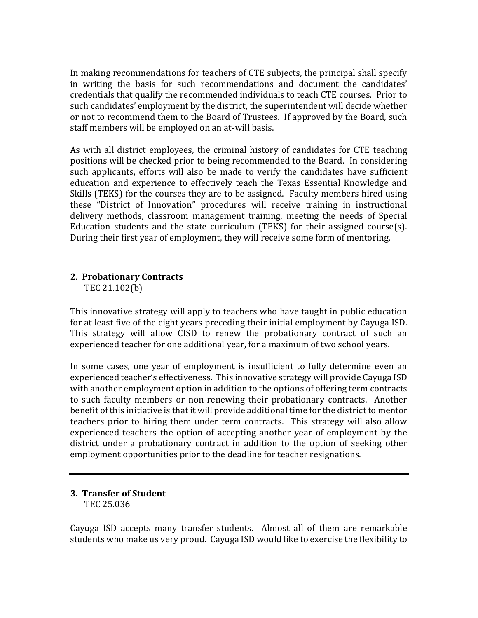In making recommendations for teachers of CTE subjects, the principal shall specify in writing the basis for such recommendations and document the candidates' credentials that qualify the recommended individuals to teach CTE courses. Prior to such candidates' employment by the district, the superintendent will decide whether or not to recommend them to the Board of Trustees. If approved by the Board, such staff members will be employed on an at-will basis.

As with all district employees, the criminal history of candidates for CTE teaching positions will be checked prior to being recommended to the Board. In considering such applicants, efforts will also be made to verify the candidates have sufficient education and experience to effectively teach the Texas Essential Knowledge and Skills (TEKS) for the courses they are to be assigned. Faculty members hired using these "District of Innovation" procedures will receive training in instructional delivery methods, classroom management training, meeting the needs of Special Education students and the state curriculum (TEKS) for their assigned course(s). During their first year of employment, they will receive some form of mentoring.

# **2. Probationary Contracts**

TEC 21.102(b)

This innovative strategy will apply to teachers who have taught in public education for at least five of the eight years preceding their initial employment by Cayuga ISD. This strategy will allow CISD to renew the probationary contract of such an experienced teacher for one additional year, for a maximum of two school years.

In some cases, one year of employment is insufficient to fully determine even an experienced teacher's effectiveness. This innovative strategy will provide Cayuga ISD with another employment option in addition to the options of offering term contracts to such faculty members or non-renewing their probationary contracts. Another benefit of this initiative is that it will provide additional time for the district to mentor teachers prior to hiring them under term contracts. This strategy will also allow experienced teachers the option of accepting another year of employment by the district under a probationary contract in addition to the option of seeking other employment opportunities prior to the deadline for teacher resignations.

#### **3. Transfer of Student** TEC 25.036

Cayuga ISD accepts many transfer students. Almost all of them are remarkable students who make us very proud. Cayuga ISD would like to exercise the flexibility to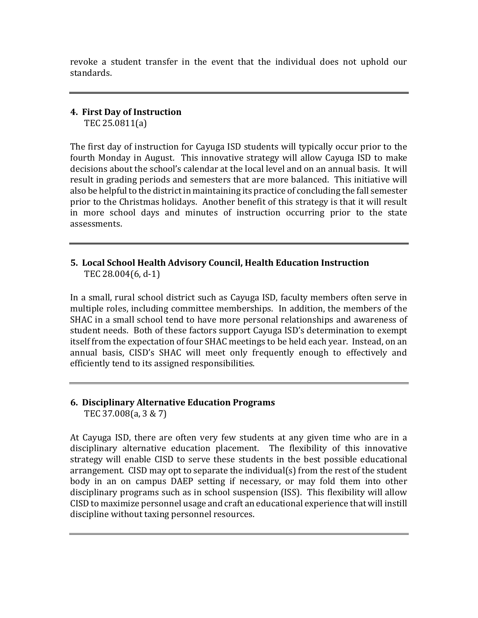revoke a student transfer in the event that the individual does not uphold our standards.

#### **4. First Day of Instruction** TEC 25.0811(a)

The first day of instruction for Cayuga ISD students will typically occur prior to the fourth Monday in August. This innovative strategy will allow Cayuga ISD to make decisions about the school's calendar at the local level and on an annual basis. It will result in grading periods and semesters that are more balanced. This initiative will also be helpful to the district in maintaining its practice of concluding the fall semester prior to the Christmas holidays. Another benefit of this strategy is that it will result in more school days and minutes of instruction occurring prior to the state assessments.

#### **5. Local School Health Advisory Council, Health Education Instruction** TEC 28.004(6, d-1)

In a small, rural school district such as Cayuga ISD, faculty members often serve in multiple roles, including committee memberships. In addition, the members of the SHAC in a small school tend to have more personal relationships and awareness of student needs. Both of these factors support Cayuga ISD's determination to exempt itself from the expectation of four SHAC meetings to be held each year. Instead, on an annual basis, CISD's SHAC will meet only frequently enough to effectively and efficiently tend to its assigned responsibilities.

#### **6. Disciplinary Alternative Education Programs** TEC 37.008(a, 3 & 7)

At Cayuga ISD, there are often very few students at any given time who are in a disciplinary alternative education placement. The flexibility of this innovative strategy will enable CISD to serve these students in the best possible educational arrangement. CISD may opt to separate the individual(s) from the rest of the student body in an on campus DAEP setting if necessary, or may fold them into other disciplinary programs such as in school suspension (ISS). This flexibility will allow CISD to maximize personnel usage and craft an educational experience that will instill discipline without taxing personnel resources.